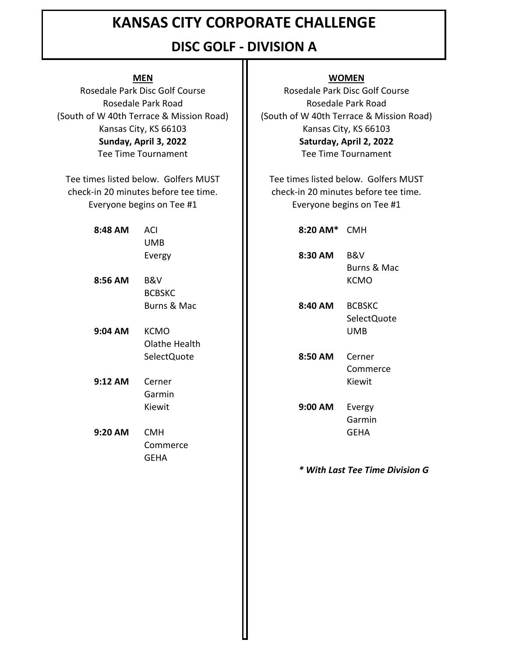### **DISC GOLF - DIVISION A**

Rosedale Park Road Rosedale Park Disc Golf Course (South of W 40th Terrace & Mission Road) Kansas City, KS 66103 **Sunday, April 3, 2022** Tee Time Tournament

Everyone begins on Tee #1 Tee times listed below. Golfers MUST check-in 20 minutes before tee time.

| 48 AM | ACI    |
|-------|--------|
|       | UMB    |
|       | Evergy |

- **8:56 AM** B&V **II** KCMO **BCBSKC**
- **9:04 AM** KCMO UMB Olathe Health
- **9:12 AM** Cerner **II** Kiewit Garmin
- **9:20 AM** CMH **II GEHA** Commerce GEHA

#### **MEN WOMEN**

Rosedale Park Disc Golf Course Rosedale Park Road (South of W 40th Terrace & Mission Road) Kansas City, KS 66103 **Saturday, April 2, 2022** Tee Time Tournament

Tee times listed below. Golfers MUST check-in 20 minutes before tee time. Everyone begins on Tee #1

**8:48 AM** ACI **8:20 AM\*** CMH 8:30 AM B&V Burns & Mac Burns & Mac **II** 8:40 AM BCBSKC SelectQuote

> SelectQuote **8:50 AM** Cerner **Commerce**

Kiewit **9:00 AM** Evergy Garmin

*\* With Last Tee Time Division G*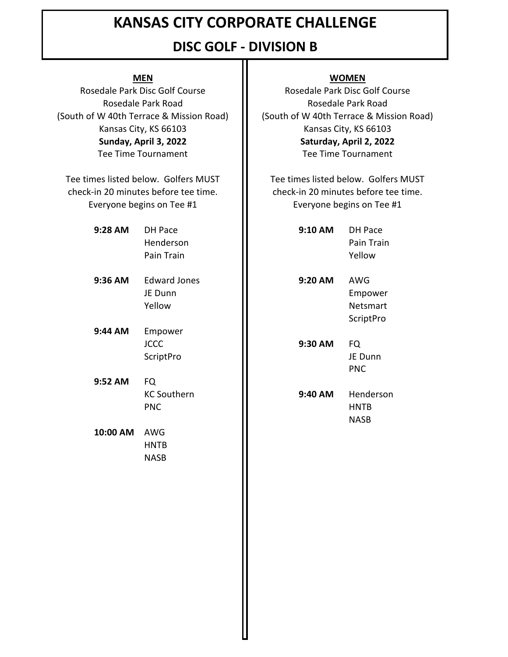### **DISC GOLF - DIVISION B**

## **9:28 AM** DH Pace **9:10 AM** DH Pace Henderson Pain Train **9:36 AM** Edward Jones JE Dunn **MEN WOMEN** Rosedale Park Disc Golf Course **Rosedale Park Disc Golf Course** Rosedale Park Road **II** Rosedale Park Road Kansas City, KS 66103 **Kansas City, KS 66103** check-in 20 minutes before tee time. check-in 20 minutes before tee time. Everyone begins on Tee #1 **I** Everyone begins on Tee #1 **Sunday, April 3, 2022 Saturday, April 2, 2022** Tee Time Tournament **Tee Time Tournament** Tee times listed below. Golfers MUST  $\Box$  Tee times listed below. Golfers MUST

- **9:44 AM** Empower ScriptPro
- **9:52 AM** FQ **KC Southern**
- **10:00 AM** AWG HNTB NASB

(South of W 40th Terrace & Mission Road) | (South of W 40th Terrace & Mission Road)

| DH Pace             | 9:10 AM | <b>DH Pace</b> |
|---------------------|---------|----------------|
| Henderson           |         | Pain Train     |
| Pain Train          |         | Yellow         |
| <b>Edward Jones</b> | 9:20 AM | AWG            |
| JE Dunn             |         | Empower        |
| Yellow              |         | Netsmart       |
|                     |         | ScriptPro      |
| Empower             |         |                |
| JCCC                | 9:30 AM | <b>FQ</b>      |
| <b>ScriptPro</b>    |         | JE Dunn        |
|                     |         | <b>PNC</b>     |
| FQ                  |         |                |
| <b>KC Southern</b>  | 9:40 AM | Henderson      |
| <b>PNC</b>          |         | <b>HNTB</b>    |
|                     |         |                |

NASB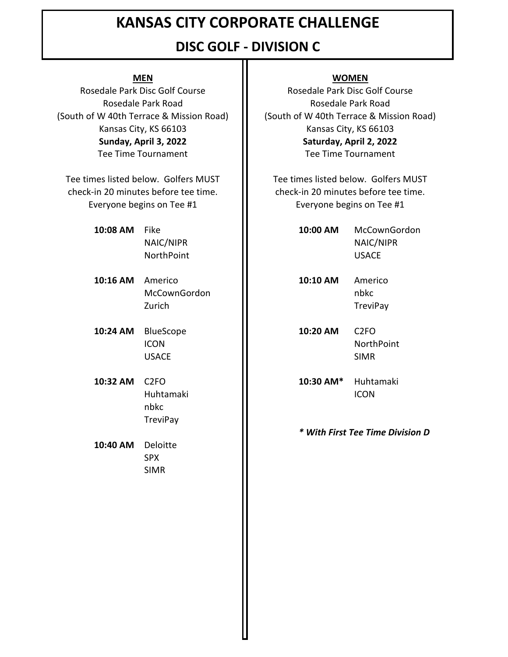### **DISC GOLF - DIVISION C**

check-in 20 minutes before tee time. check-in 20 minutes before tee time. Everyone begins on Tee #1  $\blacksquare$  Everyone begins on Tee #1 Tee times listed below. Golfers MUST The times listed below. Golfers MUST

- 
- **10:16 AM** Americo **10:10 AM** Americo
- **10:24 AM** BlueScope **10:20 AM** C2FO
- nbkc **TreviPay**

**10:40 AM** Deloitte SPX SIMR

#### **MEN WOMEN**

Rosedale Park Disc Golf Course **Rosedale Park Disc Golf Course** Rosedale Park Road **II** Rosedale Park Road (South of W 40th Terrace & Mission Road) | (South of W 40th Terrace & Mission Road) Kansas City, KS 66103 **Kansas City, KS 66103 Sunday, April 3, 2022 Saturday, April 2, 2022** Tee Time Tournament Tee Time Tournament

**10:08 AM** Fike **10:00 AM** McCownGordon NAIC/NIPR NAIC/NIPR NorthPoint **II** USACE

> McCownGordon **II** nbkc Zurich **II** TreviPay

ICON III NorthPoint USACE II SIMR

**10:32 AM** C2FO **10:30 AM\*** Huhtamaki Huhtamaki II Huhtamaki II

*\* With First Tee Time Division D*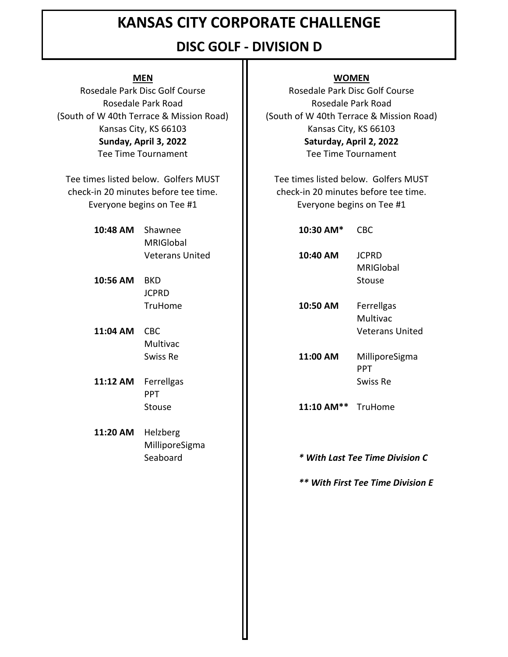## **DISC GOLF - DIVISION D**

check-in 20 minutes before tee time. check-in 20 minutes before tee time. Everyone begins on Tee #1 **I** Everyone begins on Tee #1 Tee times listed below. Golfers MUST The times listed below. Golfers MUST

# **10:48 AM** Shawnee **10:30 AM\*** CBC MRIGlobal

- **10:56 AM** BKD **Stouse II** Stouse JCPRD
- **11:04 AM** CBC Veterans United Multivac
- **11:12 AM** Ferrellgas **SWISS Re SWISS Re** PPT
- **11:20 AM** Helzberg MilliporeSigma

#### **MEN WOMEN**

Rosedale Park Disc Golf Course **Rosedale Park Disc Golf Course** Rosedale Park Road **Rosedale Park Road** Rosedale Park Road (South of W 40th Terrace & Mission Road)  $\|\cdot\|$  (South of W 40th Terrace & Mission Road) Kansas City, KS 66103 **Kansas City, KS 66103 Sunday, April 3, 2022 Saturday, April 2, 2022** Tee Time Tournament **Tee Time Tournament** 

Veterans United **10:40 AM** JCPRD MRIGlobal

TruHome **10:50 AM** Ferrellgas Multivac

Swiss Re **11:00 AM** MilliporeSigma PPT

Stouse **11:10 AM\*\*** TruHome

#### Seaboard *\* With Last Tee Time Division C*

*\*\* With First Tee Time Division E*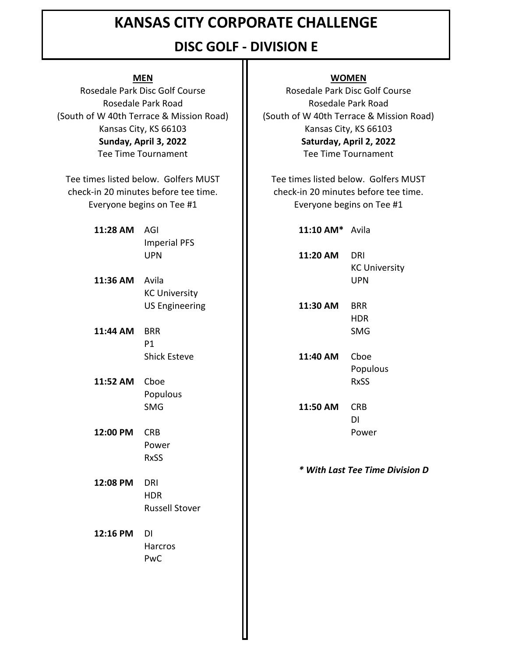### **DISC GOLF - DIVISION E**

check-in 20 minutes before tee time. check-in 20 minutes before tee time. Everyone begins on Tee #1 **I** Everyone begins on Tee #1 Tee times listed below. Golfers MUST The Tee times listed below. Golfers MUST

- **11:28 AM** AGI **11:10 AM\*** Avila Imperial PFS
- **11:36 AM** Avila **II** UPN KC University
- **11:44 AM** BRR SMG P1
- **11:52 AM** Cboe **II** RxSS Populous
- **12:00 PM** CRB **II** Power Power RxSS
- **12:08 PM** DRI HDR Russell Stover

**12:16 PM** DI **Harcros** PwC

#### **MEN WOMEN**

Rosedale Park Disc Golf Course **Rosedale Park Disc Golf Course** Rosedale Park Road **Rosedale Park Road** (South of W 40th Terrace & Mission Road) | | (South of W 40th Terrace & Mission Road) Kansas City, KS 66103 **Kansas City, KS 66103 Sunday, April 3, 2022 Saturday, April 2, 2022** Tee Time Tournament Tee Time Tournament

UPN **11:20 AM** DRI KC University

US Engineering **11:30 AM** BRR HDR

Shick Esteve **11:40 AM** Cboe Populous

SMG **11:50 AM** CRB DI

*\* With Last Tee Time Division D*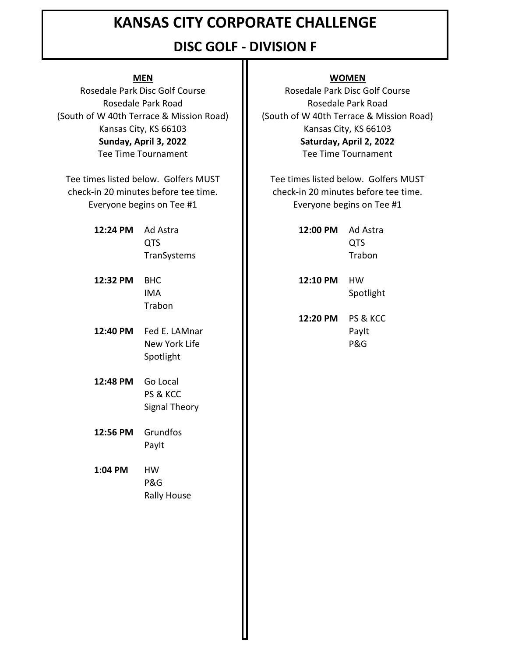### **DISC GOLF - DIVISION F**

Tee Time Tournament **Tee Time Tournament** 

check-in 20 minutes before tee time. check-in 20 minutes before tee time. Everyone begins on Tee #1 **I** Everyone begins on Tee #1 Tee times listed below. Golfers MUST  $\Box$  Tee times listed below. Golfers MUST

- **12:24 PM** Ad Astra TranSystems
- **12:32 PM** BHC **12:10 PM** HW Trabon
- **12:40 PM** Fed E. LAMnar **II** PayIt Spotlight
- **12:48 PM** Go Local PS & KCC Signal Theory
- **12:56 PM** Grundfos PayIt

**1:04 PM** HW P&G Rally House

#### **MEN WOMEN**

Rosedale Park Disc Golf Course **Rosedale Park Disc Golf Course** Rosedale Park Road **II** Rosedale Park Road (South of W 40th Terrace & Mission Road) | (South of W 40th Terrace & Mission Road) Kansas City, KS 66103 **Kansas City, KS 66103 Sunday, April 3, 2022 Saturday, April 2, 2022**

| Ad Astra           | 12:00 PM | Ad Astra |
|--------------------|----------|----------|
| QTS                |          | OTS.     |
| <b>TranSystems</b> |          | Trabon   |

IMA **IMA** Spotlight

**12:20 PM** PS & KCC New York Life **II** P&G